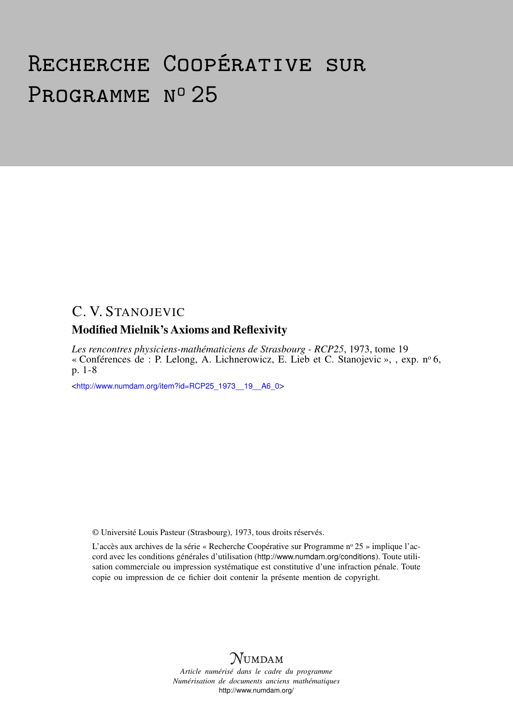# Recherche Coopérative sur PROGRAMME Nº 25

## C. V. STANOJEVIC

#### Modified Mielnik's Axioms and Reflexivity

*Les rencontres physiciens-mathématiciens de Strasbourg - RCP25*, 1973, tome 19 « Conférences de : P. Lelong, A. Lichnerowicz, E. Lieb et C. Stanojevic », , exp. n<sup>o</sup> 6, p. 1-8

<[http://www.numdam.org/item?id=RCP25\\_1973\\_\\_19\\_\\_A6\\_0](http://www.numdam.org/item?id=RCP25_1973__19__A6_0)>

© Université Louis Pasteur (Strasbourg), 1973, tous droits réservés.

L'accès aux archives de la série « Recherche Coopérative sur Programme nº 25 » implique l'accord avec les conditions générales d'utilisation (<http://www.numdam.org/conditions>). Toute utilisation commerciale ou impression systématique est constitutive d'une infraction pénale. Toute copie ou impression de ce fichier doit contenir la présente mention de copyright.



*Article numérisé dans le cadre du programme Numérisation de documents anciens mathématiques* <http://www.numdam.org/>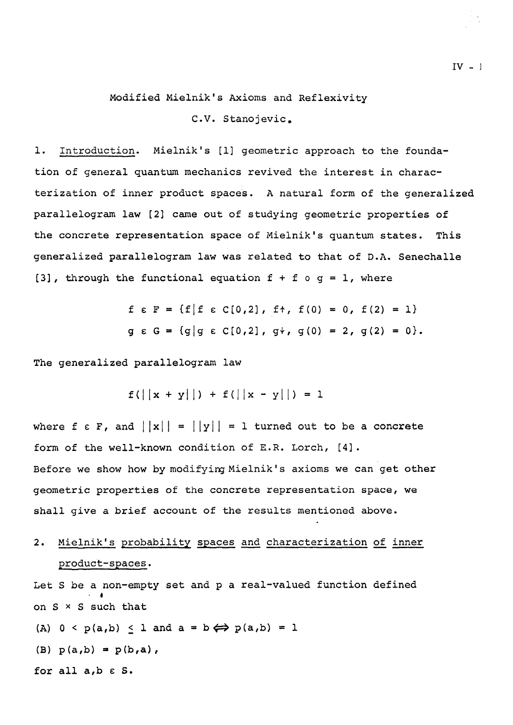### **Modified Mielnik's Axioms and Reflexivity C.V. Stanojevic\***

1. Introduction. Mielnik's [1] geometric approach to the founda**tion of general quantum mechanics revived the interest in characterization of inner product spaces. A natural form of the generalized parallelogram law [2] came out of studying geometric properties of the concrete representation space of Mielnik's quantum states. This generalized parallelogram law was related to that of D.A. Senechalle [3], through the functional equation f + f o g = 1, where** 

> $f \in F = \{f | f \in C[0,2], f^+, f(0) = 0, f(2) = 1\}$  $g \varepsilon G = {g | g \varepsilon C[0,2], g \nmid g(0) = 2, g(2) = 0}.$

**The generalized parallelogram law** 

 $f(|x + y|) + f(|x - y|) = 1$ 

where f  $\epsilon$  F, and  $||x|| = ||y|| = 1$  turned out to be a concrete form of the well-known condition of E.R. Lorch, [4]. **Before we show how by modifying Mielnik' s axioms we can get other geometric properties of the concrete representation space, we shall give a brief account of the results mentioned above.** 

## **2. Mielnik's probability spaces and characterization of inner product-spaces.**

**Let S be a non-empty set and p a real-valued function defined on S x S such that** 

 $(A)$  0 < p(a,b) < 1 and a = b  $\iff$  p(a,b) = 1

 $(B)$   $p(a,b) = p(b,a)$ ,

**for all a,b e S.**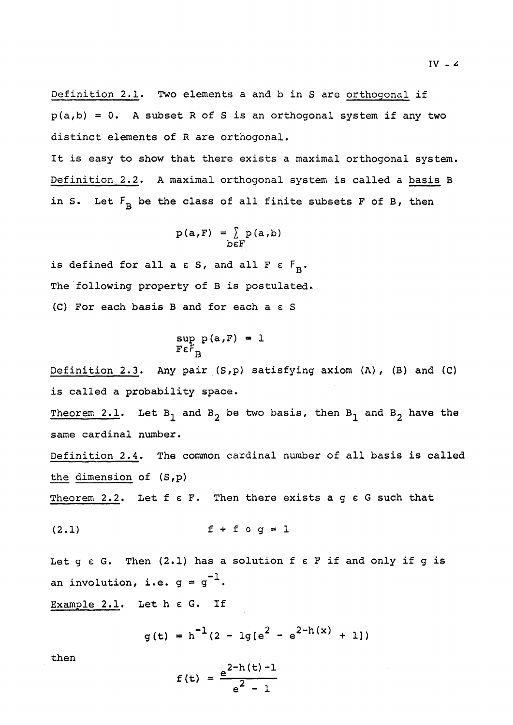**Definition 2.1. Two elements a and b in S are orthogonal if p(a,b) = 0. A subset R of S is an orthogonal system if any two distinct elements of R are orthogonal.** 

**It is easy to show that there exists a maximal orthogonal system. Definition 2.2\* A maximal orthogonal system is called a basis B**  in S. Let  $F<sub>B</sub>$  be the class of all finite subsets F of B, then

$$
p(a, F) = \sum_{b \in F} p(a, b)
$$

is defined for all  $a \in S$ , and all  $F \in F_B$ . **The following property of B is postulated.** 

$$
\sup_{\mathbf{F}\in\mathcal{F}_{\mathbf{R}}} p(a,\mathbf{F}) = 1
$$

**Definition 2.3. Any pair (S,p) satisfying axiom (A), (B) and (C) is called a probability space.** 

Theorem 2.1. Let  $B_1$  and  $B_2$  be two basis, then  $B_1$  and  $B_2$  have the **same cardinal number.** 

**Definition 2.4. The common cardinal number of all basis is called the dimension of (S,p)** 

**Theorem 2.2. Let f e F. Then there exists a g** *e* **G such that** 

$$
(2.1) \t f + f o g = 1
$$

**Let g e G. Then (2.1) has a solution f e F if and only if g is**  an involution, i.e.  $g = g^{-1}$ . **Example 2.1» Let h e G. If** 

$$
g(t) = h^{-1}(2 - 1g[e^2 - e^{2-h(x)} + 1])
$$

**then** 

$$
f(t) = \frac{e^{2-h(t)-1}}{e^2-1}
$$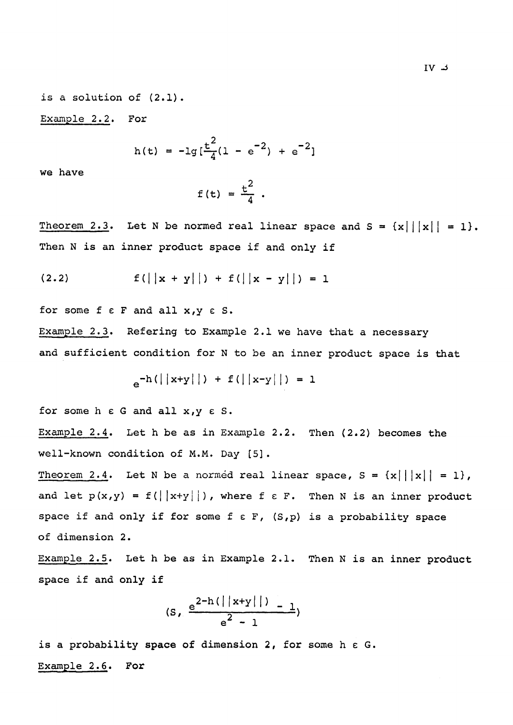#### **is a solution of (2.1).**

**Example 2.2. For** 

$$
h(t) = -\lg\left[\frac{t^2}{4}(1 - e^{-2}) + e^{-2}\right]
$$

**we have** 

$$
f(t) = \frac{t^2}{4}.
$$

Theorem 2.3. Let N be normed real linear space and  $S = \{x \mid ||x|| = 1\}$ . **Then N is an inner product space if and only if** 

(2.2) 
$$
f(|x + y|) + f(|x - y|) = 1
$$

**for some f e F and all x,y e S.** 

**Example 2.3. Refering to Example 2.1 we have that a necessary and sufficient condition for N to be an inner product space is that** 

$$
e^{-h(||x+y||) + f(||x-y||)} = 1
$$

for some  $h \in G$  and all  $x, y \in S$ .

**Example 2.4. Let h be as in Example 2.2. Then (2.2) becomes the well-known condition of M.M. Day [5].** 

**Theorem 2.4.** Let N be a normed real linear space,  $S = \{x \mid ||x|| = 1\}$ , and let  $p(x,y) = f(||x+y||)$ , where  $f \in F$ . Then N is an inner product **space if and only if for some f e F, (S,p) is a probability space of dimension 2.** 

**Example 2.5. Let h be as in Example 2.1. Then N is an inner product space if and only if** 

$$
(S, \frac{e^{2-h(|x+y||)}-1}{e^2-1})
$$

**is a probability space of dimension** *2,* **for some h e G. Example 2.6. For**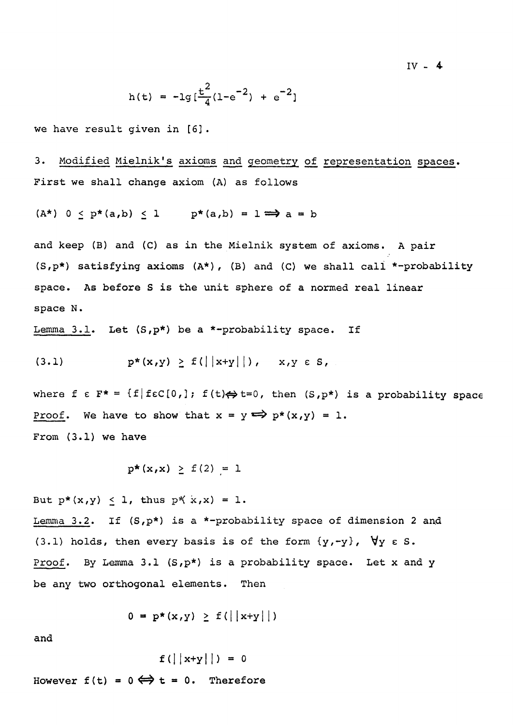**IV - 4** 

$$
h(t) = -\lg\left[\frac{t^2}{4}(1-e^{-2}) + e^{-2}\right]
$$

**we have result given in [6]•** 

**3. Modified Mielnik's axioms and geometry of representation spaces. First we shall change axiom (A) as follows** 

 $(A^*)$  0 <  $p^*(a,b)$  < 1  $p^*(a,b) = 1 \implies a = b$ 

**and keep (B) and (C) as in the Mielnik system of axioms. A pair (S,p\*) satisfying axioms (A\*), (B) and (C) we shall call ^-probability space. As before S is the unit sphere of a normed real linear space N.** 

**Lemma 3.1« Let (S,p\*) be a \*-probability space. If** 

**(3.1) p\*(x,y) > f(||x+y||), x,y e S,** 

where  $f \in F^* = \{f | f \in C[0,]: f(t) \Leftrightarrow t=0, \text{ then } (S,p^*) \text{ is a probability space }$ **Proof.** We have to show that  $x = y \implies p^*(x,y) = 1$ . **From (3.1) we have** 

 $p^*(x,x) \geq f(2) = 1$ 

But  $p^*(x,y) < 1$ , thus  $p^*(x,x) = 1$ . Lemma 3.2. If (S, p\*) is a \*-probability space of dimension 2 and (3.1) holds, then every basis is of the form  $\{y, -y\}$ ,  $\forall y \in S$ . **Proof. By Lemma 3.1 (S,p\*) is a probability space. Let x and y be any two orthogonal elements. Then** 

 $0 = p*(x,y) \ge f(||x+y||)$ 

**and** 

$$
f(|x+y||) = 0
$$

However  $f(t) = 0 \Leftrightarrow t = 0$ . Therefore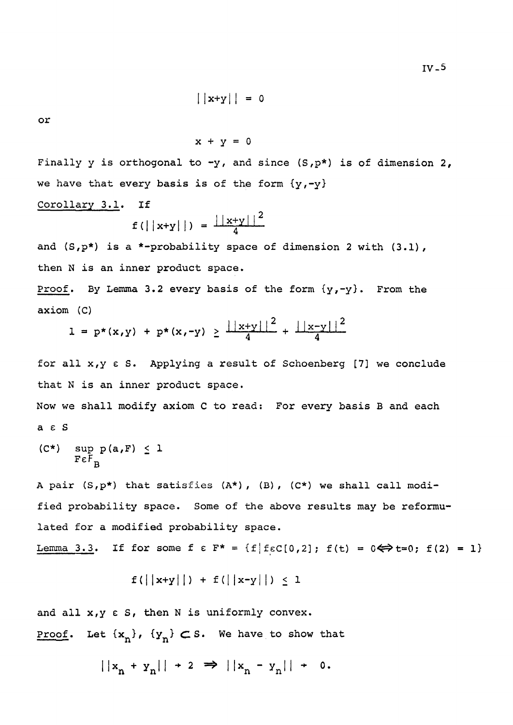$$
||\mathbf{x}+\mathbf{y}|| = 0
$$

**or** 

 $x + y = 0$ 

**Finally y is orthogonal to -y, and since (S,p\*) is of dimension 2, we have that every basis is of the form {y,-y}** 

**Corollary 3.1. If** 

$$
f(|x+y||) = \frac{||x+y||^2}{4}
$$

**and (S,p\*) is a \*-probability space of dimension 2 with (3.1), then N is an inner product space.** 

**Proof. By Lemma 3.2 every basis of the form {y,-y}. From the axiom (C)** 

$$
1 = p^{*}(x,y) + p^{*}(x,-y) \ge \frac{||x+y||^{2}}{4} + \frac{||x-y||^{2}}{4}
$$

**for all x,y e S. Applying a result of Schoenberg [7] we conclude that N is an inner product space.** 

**Now we shall modify axiom C to read: For every basis B and each a** *e* **S** 

(C\*) 
$$
\sup_{F \in \overline{F}_B} p(a, F) \leq 1
$$

**A pair (S,p\*) that satisfies (A\*), (B), (C\*) we shall call modified probability space. Some of the above results may be reformulated for a modified probability space.** 

Lemma 3.3. If for some  $f \in F^* = \{f | f \in C[0,2] \}$ ;  $f(t) = 0 \Leftrightarrow t=0$ ;  $f(2) = 1$ 

$$
f(|x+y||) + f(|x-y||) \le 1
$$

**and all x,y e S, then N is uniformly convex.**  Proof. Let  $\{x_n\}$ ,  $\{y_n\} \subset S$ . We have to show that

 $\left| \left| x_n + y_n \right| \right|$  + 2  $\Rightarrow$   $\left| \left| x_n - y_n \right| \right|$  + 0.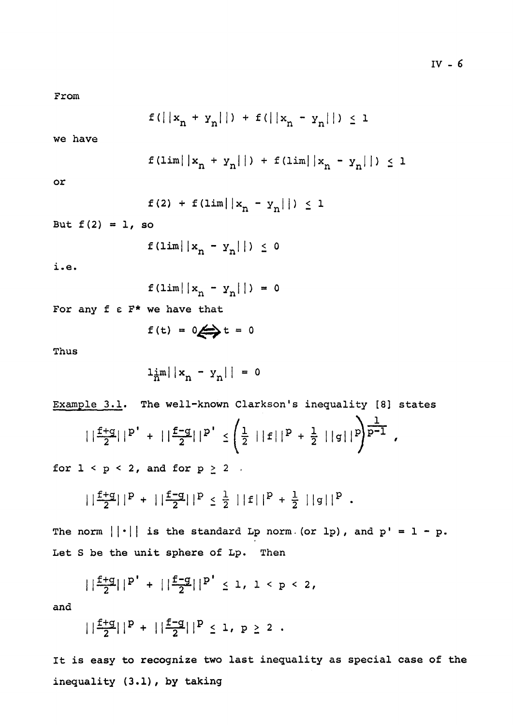**From** 

$$
f(|x_n + y_n|) + f(|x_n - y_n|) \le 1
$$

**we have** 

$$
f(\lim ||x_n + y_n||) + f(\lim ||x_n - y_n||) \leq 1
$$

**or** 

$$
f(2) + f(\lim ||x_n - y_n||) \le 1
$$

But  $f(2) = 1$ , so

$$
f(\lim ||x_n - y_n||) \le 0
$$

**i.e.** 

$$
f(\lim ||x_n - y_n||) = 0
$$

**For any f e F\* we have that** 

$$
f(t) = 0 \leftrightarrow t = 0
$$

**Thus** 

$$
\lim_{n} \left| \left| x_n - y_n \right| \right| = 0
$$

**Example 3.1. The well-known Clarkson's inequality [8] states** 

$$
||\frac{f+g}{2}||P' + ||\frac{f-g}{2}||P' \leq \left(\frac{1}{2}||f||P + \frac{1}{2}||g||^p\right)^{\frac{1}{p-1}},
$$

for  $1 < p < 2$ , and for  $p \ge 2$ .

$$
||\frac{f+g}{2}||^{p} + ||\frac{f-g}{2}||^{p} \leq \frac{1}{2} ||f||^{p} + \frac{1}{2} ||g||^{p}.
$$

The norm  $||\cdot||$  is the standard Lp norm. (or 1p), and  $p' = 1 - p$ . **Let S be the unit sphere of Lp. Then** 

$$
||\frac{f+q}{2}||P' + ||\frac{f-q}{2}||P' \leq 1, 1 < p < 2,
$$

**and** 

$$
||\frac{f+g}{2}||P + ||\frac{f-g}{2}||P \leq 1, p \geq 2.
$$

**It is easy to recognize two last inequality as special case of the inequality (3.1), by taking**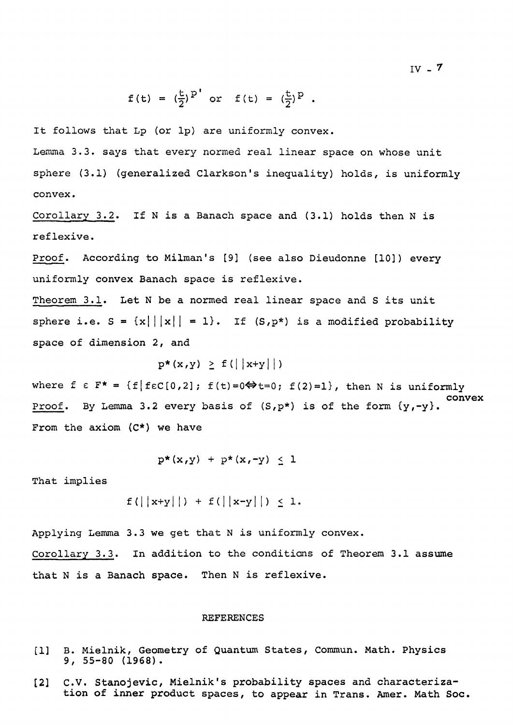$$
f(t) = (\frac{t}{2})^{p'}
$$
 or  $f(t) = (\frac{t}{2})^{p}$ .

**It follows that Lp (or lp) are uniformly convex.** 

**Lemma 3.3. says that every normed real linear space on whose unit sphere (3.1) (generalized Clarkson1s inequality) holds, is uniformly convex.** 

**Corollary 3.2. If N is a Banach space and (3.1) holds then N is reflexive.** 

**Proof. According to Milman's [9] (see also Dieudonne [10]) every uniformly convex Banach space is reflexive.** 

**Theorem 3.1. Let N be a normed real linear space and S its unit**  sphere i.e.  $S = \{x \mid ||x|| = 1\}$ . If  $(S, p^*)$  is a modified probability **space of dimension 2, and** 

 $p^*(x,y) > f(|x+y||)$ 

where  $f \in F^* = \{f | f \in C[0,2]; f(t) = 0 \Leftrightarrow t = 0; f(2) = 1\}$ , then N is uniformly **convex**  Proof. By Lemma 3.2 every basis of  $(S, p*)$  is of the form  $\{y, -y\}$ . From the axiom (C<sup>\*</sup>) we have

$$
p^*(x,y) + p^*(x,-y) \leq 1
$$

**That implies** 

$$
f(|x+y||) + f(|x-y||) \le 1.
$$

**Applying Lemma 3.3 we get that N is uniformly convex.** 

**Corollary 3.3. In addition to the conditions of Theorem 3.1 assume that N is a Banach space. Then N is reflexive.** 

#### **REFERENCES**

- **[1] B. Mielnik, Geometry of Quantum States, Coramun. Math. Physics 9, 55-80 (1968).**
- **[2] C.V. Stanojevic, Mielnik's probability spaces and characterization of inner product spaces, to appear in Trans. Amer. Math Soc.**